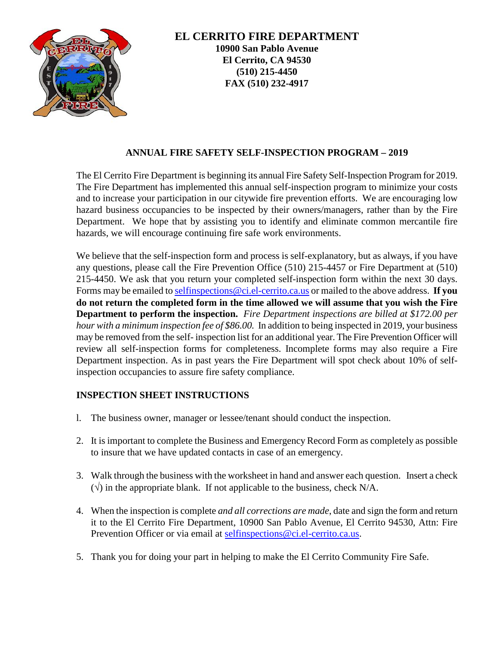

### **ANNUAL FIRE SAFETY SELF-INSPECTION PROGRAM – 2019**

The El Cerrito Fire Department is beginning its annual Fire Safety Self-Inspection Program for 2019. The Fire Department has implemented this annual self-inspection program to minimize your costs and to increase your participation in our citywide fire prevention efforts. We are encouraging low hazard business occupancies to be inspected by their owners/managers, rather than by the Fire Department. We hope that by assisting you to identify and eliminate common mercantile fire hazards, we will encourage continuing fire safe work environments.

We believe that the self-inspection form and process is self-explanatory, but as always, if you have any questions, please call the Fire Prevention Office (510) 215-4457 or Fire Department at (510) 215-4450. We ask that you return your completed self-inspection form within the next 30 days. Forms may be emailed t[o selfinspections@ci.el-cerrito.ca.us](mailto:selfinspections@ci.el-cerrito.ca.us) or mailed to the above address. **If you do not return the completed form in the time allowed we will assume that you wish the Fire Department to perform the inspection.** *Fire Department inspections are billed at \$172.00 per hour with a minimum inspection fee of \$86.00.* In addition to being inspected in 2019, your business may be removed from the self- inspection list for an additional year. The Fire Prevention Officer will review all self-inspection forms for completeness. Incomplete forms may also require a Fire Department inspection. As in past years the Fire Department will spot check about 10% of selfinspection occupancies to assure fire safety compliance.

#### **INSPECTION SHEET INSTRUCTIONS**

- l. The business owner, manager or lessee/tenant should conduct the inspection.
- 2. It is important to complete the Business and Emergency Record Form as completely as possible to insure that we have updated contacts in case of an emergency.
- 3. Walk through the business with the worksheet in hand and answer each question. Insert a check  $(\sqrt{\ } )$  in the appropriate blank. If not applicable to the business, check N/A.
- 4. When the inspection is complete *and all corrections are made*, date and sign the form and return it to the El Cerrito Fire Department, 10900 San Pablo Avenue, El Cerrito 94530, Attn: Fire Prevention Officer or via email at [selfinspections@ci.el-cerrito.ca.us.](mailto:selfinspections@ci.el-cerrito.ca.us)
- 5. Thank you for doing your part in helping to make the El Cerrito Community Fire Safe.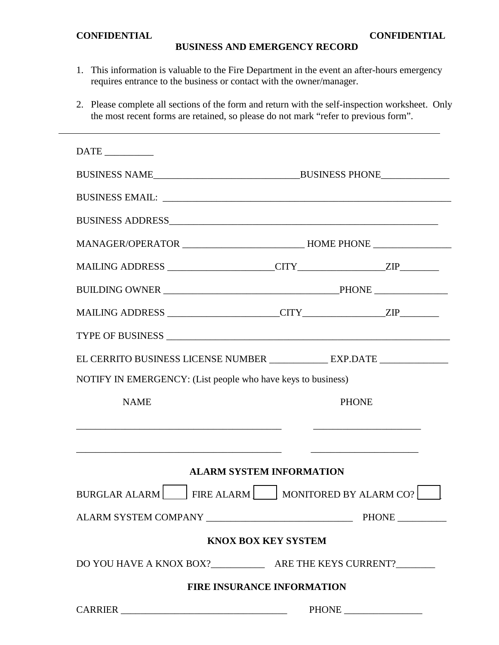#### **CONFIDENTIAL CONFIDENTIAL**

## **BUSINESS AND EMERGENCY RECORD**

- 1. This information is valuable to the Fire Department in the event an after-hours emergency requires entrance to the business or contact with the owner/manager.
- 2. Please complete all sections of the form and return with the self-inspection worksheet. Only the most recent forms are retained, so please do not mark "refer to previous form".

| $\overline{\text{DATE}}$                                                |                                       |                                                              |  |  |
|-------------------------------------------------------------------------|---------------------------------------|--------------------------------------------------------------|--|--|
|                                                                         |                                       |                                                              |  |  |
|                                                                         |                                       |                                                              |  |  |
|                                                                         |                                       |                                                              |  |  |
|                                                                         |                                       |                                                              |  |  |
|                                                                         |                                       |                                                              |  |  |
|                                                                         |                                       |                                                              |  |  |
|                                                                         |                                       |                                                              |  |  |
|                                                                         |                                       |                                                              |  |  |
| EL CERRITO BUSINESS LICENSE NUMBER _____________ EXP.DATE _____________ |                                       |                                                              |  |  |
| NOTIFY IN EMERGENCY: (List people who have keys to business)            |                                       |                                                              |  |  |
| <b>NAME</b>                                                             |                                       | <b>PHONE</b>                                                 |  |  |
| <u> 1980 - John Stein, Amerikaansk politiker († 1900)</u>               |                                       |                                                              |  |  |
|                                                                         |                                       |                                                              |  |  |
|                                                                         | <b>ALARM SYSTEM INFORMATION</b>       |                                                              |  |  |
| <b>BURGLAR ALARM</b>                                                    | FIRE ALARM     MONITORED BY ALARM CO? |                                                              |  |  |
|                                                                         |                                       |                                                              |  |  |
|                                                                         | <b>KNOX BOX KEY SYSTEM</b>            |                                                              |  |  |
|                                                                         |                                       |                                                              |  |  |
| <b>FIRE INSURANCE INFORMATION</b>                                       |                                       |                                                              |  |  |
| CARRIER                                                                 |                                       | $\label{eq:PHONE} \text{PHONE} \xrightarrow{\hspace{0.5cm}}$ |  |  |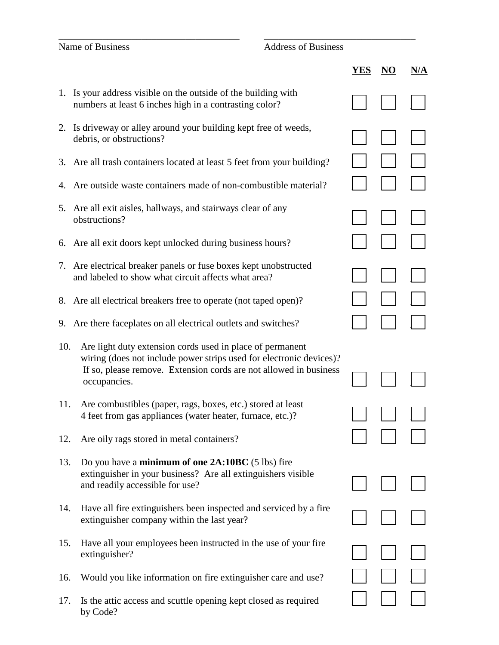# Name of Business Address of Business

|     |                                                                                                                                                                                                                       | YES | \/A |
|-----|-----------------------------------------------------------------------------------------------------------------------------------------------------------------------------------------------------------------------|-----|-----|
| 1.  | Is your address visible on the outside of the building with<br>numbers at least 6 inches high in a contrasting color?                                                                                                 |     |     |
|     | 2. Is driveway or alley around your building kept free of weeds,<br>debris, or obstructions?                                                                                                                          |     |     |
| 3.  | Are all trash containers located at least 5 feet from your building?                                                                                                                                                  |     |     |
| 4.  | Are outside waste containers made of non-combustible material?                                                                                                                                                        |     |     |
| 5.  | Are all exit aisles, hallways, and stairways clear of any<br>obstructions?                                                                                                                                            |     |     |
| 6.  | Are all exit doors kept unlocked during business hours?                                                                                                                                                               |     |     |
| 7.  | Are electrical breaker panels or fuse boxes kept unobstructed<br>and labeled to show what circuit affects what area?                                                                                                  |     |     |
| 8.  | Are all electrical breakers free to operate (not taped open)?                                                                                                                                                         |     |     |
| 9.  | Are there faceplates on all electrical outlets and switches?                                                                                                                                                          |     |     |
| 10. | Are light duty extension cords used in place of permanent<br>wiring (does not include power strips used for electronic devices)?<br>If so, please remove. Extension cords are not allowed in business<br>occupancies. |     |     |
| 11. | Are combustibles (paper, rags, boxes, etc.) stored at least<br>4 feet from gas appliances (water heater, furnace, etc.)?                                                                                              |     |     |
| 12. | Are oily rags stored in metal containers?                                                                                                                                                                             |     |     |
| 13. | Do you have a minimum of one 2A:10BC (5 lbs) fire<br>extinguisher in your business? Are all extinguishers visible<br>and readily accessible for use?                                                                  |     |     |
| 14. | Have all fire extinguishers been inspected and serviced by a fire<br>extinguisher company within the last year?                                                                                                       |     |     |
| 15. | Have all your employees been instructed in the use of your fire<br>extinguisher?                                                                                                                                      |     |     |
| 16. | Would you like information on fire extinguisher care and use?                                                                                                                                                         |     |     |

\_\_\_\_\_\_\_\_\_\_\_\_\_\_\_\_\_\_\_\_\_\_\_\_\_\_\_\_\_\_\_\_\_\_\_\_\_ \_\_\_\_\_\_\_\_\_\_\_\_\_\_\_\_\_\_\_\_\_\_\_\_\_\_\_\_\_\_\_

17. Is the attic access and scuttle opening kept closed as required  $\Box$ by Code?